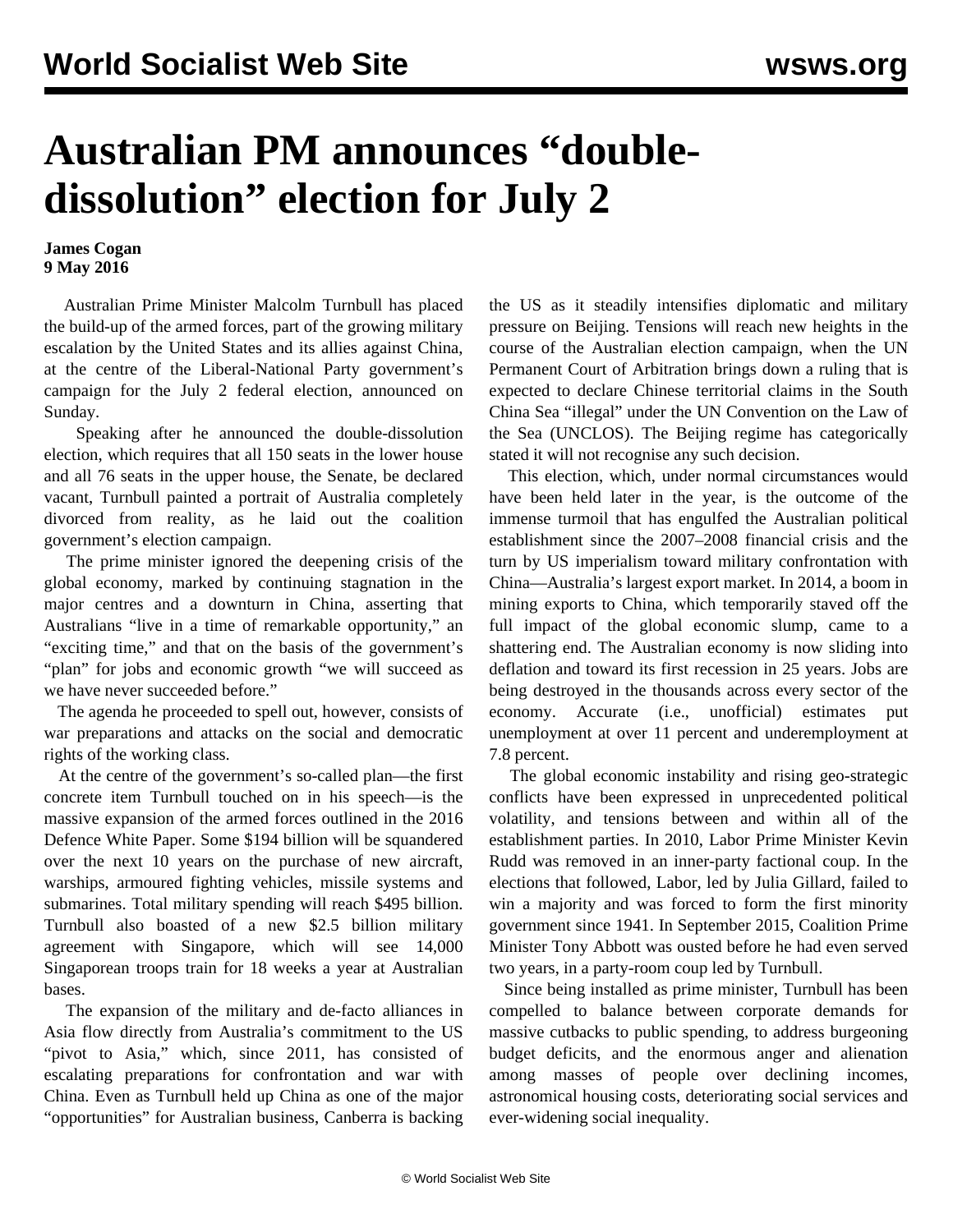## **Australian PM announces "doubledissolution" election for July 2**

## **James Cogan 9 May 2016**

 Australian Prime Minister Malcolm Turnbull has placed the build-up of the armed forces, part of the growing military escalation by the United States and its allies against China, at the centre of the Liberal-National Party government's campaign for the July 2 federal election, announced on Sunday.

 Speaking after he announced the double-dissolution election, which requires that all 150 seats in the lower house and all 76 seats in the upper house, the Senate, be declared vacant, Turnbull painted a portrait of Australia completely divorced from reality, as he laid out the coalition government's election campaign.

 The prime minister ignored the deepening crisis of the global economy, marked by continuing stagnation in the major centres and a downturn in China, asserting that Australians "live in a time of remarkable opportunity," an "exciting time," and that on the basis of the government's "plan" for jobs and economic growth "we will succeed as we have never succeeded before."

 The agenda he proceeded to spell out, however, consists of war preparations and attacks on the social and democratic rights of the working class.

 At the centre of the government's so-called plan—the first concrete item Turnbull touched on in his speech—is the massive expansion of the armed forces outlined in the 2016 Defence White Paper. Some \$194 billion will be squandered over the next 10 years on the purchase of new aircraft, warships, armoured fighting vehicles, missile systems and submarines. Total military spending will reach \$495 billion. Turnbull also boasted of a new \$2.5 billion military agreement with Singapore, which will see 14,000 Singaporean troops train for 18 weeks a year at Australian bases.

 The expansion of the military and de-facto alliances in Asia flow directly from Australia's commitment to the US "pivot to Asia," which, since 2011, has consisted of escalating preparations for confrontation and war with China. Even as Turnbull held up China as one of the major "opportunities" for Australian business, Canberra is backing

the US as it steadily intensifies diplomatic and military pressure on Beijing. Tensions will reach new heights in the course of the Australian election campaign, when the UN Permanent Court of Arbitration brings down a ruling that is expected to declare Chinese territorial claims in the South China Sea "illegal" under the UN Convention on the Law of the Sea (UNCLOS). The Beijing regime has categorically stated it will not recognise any such decision.

 This election, which, under normal circumstances would have been held later in the year, is the outcome of the immense turmoil that has engulfed the Australian political establishment since the 2007–2008 financial crisis and the turn by US imperialism toward military confrontation with China—Australia's largest export market. In 2014, a boom in mining exports to China, which temporarily staved off the full impact of the global economic slump, came to a shattering end. The Australian economy is now sliding into deflation and toward its first recession in 25 years. Jobs are being destroyed in the thousands across every sector of the economy. Accurate (i.e., unofficial) estimates put unemployment at over 11 percent and underemployment at 7.8 percent.

 The global economic instability and rising geo-strategic conflicts have been expressed in unprecedented political volatility, and tensions between and within all of the establishment parties. In 2010, Labor Prime Minister Kevin Rudd was removed in an inner-party factional coup. In the elections that followed, Labor, led by Julia Gillard, failed to win a majority and was forced to form the first minority government since 1941. In September 2015, Coalition Prime Minister Tony Abbott was ousted before he had even served two years, in a party-room coup led by Turnbull.

 Since being installed as prime minister, Turnbull has been compelled to balance between corporate demands for massive cutbacks to public spending, to address burgeoning budget deficits, and the enormous anger and alienation among masses of people over declining incomes, astronomical housing costs, deteriorating social services and ever-widening social inequality.